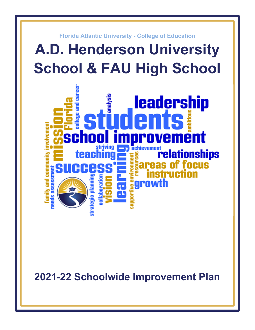

**2021-22 Schoolwide Improvement Plan**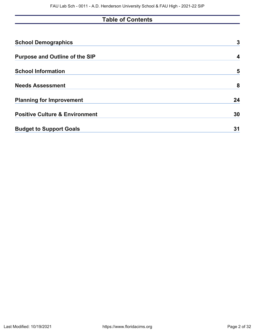# **Table of Contents**

| <b>School Demographics</b>                | 3  |
|-------------------------------------------|----|
| <b>Purpose and Outline of the SIP</b>     | 4  |
| <b>School Information</b>                 | 5  |
| <b>Needs Assessment</b>                   | 8  |
| <b>Planning for Improvement</b>           | 24 |
| <b>Positive Culture &amp; Environment</b> | 30 |
| <b>Budget to Support Goals</b>            | 31 |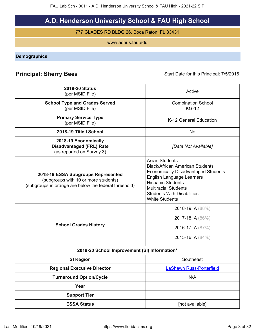# **A.D. Henderson University School & FAU High School**

777 GLADES RD BLDG 26, Boca Raton, FL 33431

www.adhus.fau.edu

<span id="page-2-0"></span>**Demographics**

# **Principal: Sherry Bees** Start Date for this Principal: 7/5/2016

| <b>2019-20 Status</b><br>(per MSID File)                                                                                            | Active                                                                                                                                                                                                                                                                     |
|-------------------------------------------------------------------------------------------------------------------------------------|----------------------------------------------------------------------------------------------------------------------------------------------------------------------------------------------------------------------------------------------------------------------------|
| <b>School Type and Grades Served</b><br>(per MSID File)                                                                             | <b>Combination School</b><br><b>KG-12</b>                                                                                                                                                                                                                                  |
| <b>Primary Service Type</b><br>(per MSID File)                                                                                      | K-12 General Education                                                                                                                                                                                                                                                     |
| 2018-19 Title I School                                                                                                              | <b>No</b>                                                                                                                                                                                                                                                                  |
| 2018-19 Economically<br><b>Disadvantaged (FRL) Rate</b><br>(as reported on Survey 3)                                                | [Data Not Available]                                                                                                                                                                                                                                                       |
| 2018-19 ESSA Subgroups Represented<br>(subgroups with 10 or more students)<br>(subgroups in orange are below the federal threshold) | <b>Asian Students</b><br><b>Black/African American Students</b><br><b>Economically Disadvantaged Students</b><br><b>English Language Learners</b><br><b>Hispanic Students</b><br><b>Multiracial Students</b><br><b>Students With Disabilities</b><br><b>White Students</b> |
| <b>School Grades History</b>                                                                                                        | 2018-19: A (88%)<br>2017-18: A (86%)<br>2016-17: A (87%)<br>2015-16: A (84%)                                                                                                                                                                                               |
| 2019-20 School Improvement (SI) Information*                                                                                        |                                                                                                                                                                                                                                                                            |
| <b>SI Region</b>                                                                                                                    | Southeast                                                                                                                                                                                                                                                                  |
| <b>Regional Executive Director</b>                                                                                                  | <b>LaShawn Russ-Porterfield</b>                                                                                                                                                                                                                                            |
| <b>Turnaround Option/Cycle</b>                                                                                                      | N/A                                                                                                                                                                                                                                                                        |
| Year                                                                                                                                |                                                                                                                                                                                                                                                                            |
| <b>Support Tier</b>                                                                                                                 |                                                                                                                                                                                                                                                                            |
| <b>ESSA Status</b>                                                                                                                  | [not available]                                                                                                                                                                                                                                                            |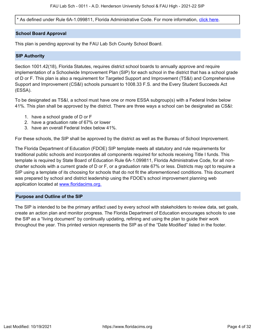\* As defined under Rule 6A-1.099811, Florida Administrative Code. For more information, [click here.](/downloads?category=da-forms)

### **School Board Approval**

This plan is pending approval by the FAU Lab Sch County School Board.

### **SIP Authority**

Section 1001.42(18), Florida Statutes, requires district school boards to annually approve and require implementation of a Schoolwide Improvement Plan (SIP) for each school in the district that has a school grade of D or F. This plan is also a requirement for Targeted Support and Improvement (TS&I) and Comprehensive Support and Improvement (CS&I) schools pursuant to 1008.33 F.S. and the Every Student Succeeds Act (ESSA).

To be designated as TS&I, a school must have one or more ESSA subgroup(s) with a Federal Index below 41%. This plan shall be approved by the district. There are three ways a school can be designated as CS&I:

- 1. have a school grade of D or F
- 2. have a graduation rate of 67% or lower
- 3. have an overall Federal Index below 41%.

For these schools, the SIP shall be approved by the district as well as the Bureau of School Improvement.

The Florida Department of Education (FDOE) SIP template meets all statutory and rule requirements for traditional public schools and incorporates all components required for schools receiving Title I funds. This template is required by State Board of Education Rule 6A-1.099811, Florida Administrative Code, for all noncharter schools with a current grade of D or F, or a graduation rate 67% or less. Districts may opt to require a SIP using a template of its choosing for schools that do not fit the aforementioned conditions. This document was prepared by school and district leadership using the FDOE's school improvement planning web application located at [www.floridacims.org.](https://www.floridacims.org)

### <span id="page-3-0"></span>**Purpose and Outline of the SIP**

The SIP is intended to be the primary artifact used by every school with stakeholders to review data, set goals, create an action plan and monitor progress. The Florida Department of Education encourages schools to use the SIP as a "living document" by continually updating, refining and using the plan to guide their work throughout the year. This printed version represents the SIP as of the "Date Modified" listed in the footer.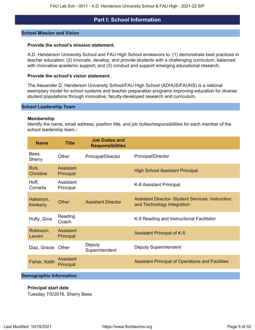# **Part I: School Information**

### <span id="page-4-0"></span>**School Mission and Vision**

#### **Provide the school's mission statement.**

A.D. Henderson University School and FAU High School endeavors to: (1) demonstrate best practices in teacher education; (2) innovate, develop, and provide students with a challenging curriculum, balanced with innovative academic support; and (3) conduct and support emerging educational research.

### **Provide the school's vision statement.**

The Alexander D. Henderson University School/FAU High School (ADHUS/FAUHS) is a national exemplary model for school systems and teacher preparation programs improving education for diverse student populations through innovative, faculty-developed research and curriculum.

#### **School Leadership Team**

#### **Membership**

Identify the name, email address, position title, and job duties/responsibilities for each member of the school leadership team.**:**

| <b>Name</b>            | <b>Title</b>           | <b>Job Duties and</b><br><b>Responsibilities</b> |                                                                                         |
|------------------------|------------------------|--------------------------------------------------|-----------------------------------------------------------------------------------------|
| Bees,<br>Sherry        | Other                  | <b>Principal/Director</b>                        | Principal/Director                                                                      |
| Rick,<br>Christine     | Assistant<br>Principal |                                                  | <b>High School Assistant Principal</b>                                                  |
| Hoff,<br>Cornelia      | Assistant<br>Principal |                                                  | K-8 Assistant Principal                                                                 |
| Hallstrom,<br>Kimberly | Other                  | <b>Assistant Director</b>                        | <b>Assistant Director- Student Services, Instruction,</b><br>and Technology Integration |
| Hufty, Gina            | Reading<br>Coach       |                                                  | K-5 Reading and Instructional Facilitator                                               |
| Robinson,<br>Lauren    | Assistant<br>Principal |                                                  | <b>Assistant Principal of K-5</b>                                                       |
| Diaz, Gracie           | Other                  | Deputy<br>Superintendent                         | <b>Deputy Superintendent</b>                                                            |
| Fisher, Keith          | Assistant<br>Principal |                                                  | <b>Assistant Principal of Operations and Facilities</b>                                 |
|                        |                        |                                                  |                                                                                         |

# **Demographic Information**

## **Principal start date**

Tuesday 7/5/2016, Sherry Bees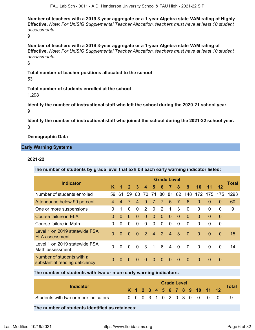**Number of teachers with a 2019 3-year aggregate or a 1-year Algebra state VAM rating of Highly Effective.** *Note: For UniSIG Supplemental Teacher Allocation, teachers must have at least 10 student assessments.*

9

**Number of teachers with a 2019 3-year aggregate or a 1-year Algebra state VAM rating of Effective.** *Note: For UniSIG Supplemental Teacher Allocation, teachers must have at least 10 student assessments.*

6

**Total number of teacher positions allocated to the school** 53

**Total number of students enrolled at the school** 1,298

**Identify the number of instructional staff who left the school during the 2020-21 school year.** 9

**Identify the number of instructional staff who joined the school during the 2021-22 school year.** 8

**Demographic Data**

# **Early Warning Systems**

## **2021-22**

**The number of students by grade level that exhibit each early warning indicator listed:**

|                                                             |                |          |                |                |                         |                | <b>Grade Level</b> |                |                |                |          |          |          | Total |
|-------------------------------------------------------------|----------------|----------|----------------|----------------|-------------------------|----------------|--------------------|----------------|----------------|----------------|----------|----------|----------|-------|
| <b>Indicator</b>                                            | K              | 1        | $\overline{2}$ | $\mathbf{3}$   | $\boldsymbol{4}$        | 5              | 6                  | $\overline{7}$ | 8              | 9              | 10       | 11       | 12       |       |
| Number of students enrolled                                 | 59             | 61       | 59             | 60             | 70                      | 71             | 80                 | 81             | 82             | 148            | 172      | 175      | 175      | 1293  |
| Attendance below 90 percent                                 | $\overline{4}$ | 4        | 7              | $\overline{4}$ | 9                       | $\overline{7}$ | $\overline{7}$     | 5              | $\overline{7}$ | 6              | $\Omega$ | $\Omega$ | $\Omega$ | 60    |
| One or more suspensions                                     | 0              | 1        | 0              | $\Omega$       | 2                       | $\Omega$       | 2                  | 1              | 3              | $\Omega$       | $\Omega$ | 0        | 0        | 9     |
| <b>Course failure in ELA</b>                                | $\Omega$       | $\Omega$ | $\Omega$       | $\Omega$       | $\Omega$                | $\Omega$       | $\Omega$           | $\Omega$       | $\Omega$       | $\Omega$       | $\Omega$ | $\Omega$ | $\Omega$ |       |
| Course failure in Math                                      | 0              | $\Omega$ | 0              | 0              | 0                       | $\Omega$       | 0                  | 0              | $\Omega$       | $\Omega$       | $\Omega$ | $\Omega$ | $\Omega$ |       |
| Level 1 on 2019 statewide FSA<br>ELA assessment             | $\Omega$       | $\Omega$ | $\Omega$       | $\Omega$       | $\mathcal{P}$           | $\overline{4}$ | 2                  | $\overline{4}$ | 3              | $\overline{0}$ | $\Omega$ | $\Omega$ | $\Omega$ | 15    |
| Level 1 on 2019 statewide FSA<br>Math assessment            | $\Omega$       | $\Omega$ | $\Omega$       | $\Omega$       | $\overline{\mathbf{3}}$ | $\overline{1}$ | 6                  | 4              | $\overline{0}$ | $\mathbf{0}$   | $\Omega$ | $\Omega$ | $\Omega$ | 14    |
| Number of students with a<br>substantial reading deficiency | $\Omega$       | $\Omega$ | $\Omega$       | $\Omega$       | $\Omega$                | $\Omega$       | $\Omega$           | $\Omega$       | $\Omega$       | $\Omega$       | $\Omega$ | $\Omega$ | $\Omega$ |       |

### **The number of students with two or more early warning indicators:**

| Indicator                            |  |  |  | <b>Grade Level</b> |  |  |                              | <b>Total</b> |
|--------------------------------------|--|--|--|--------------------|--|--|------------------------------|--------------|
|                                      |  |  |  |                    |  |  | K 1 2 3 4 5 6 7 8 9 10 11 12 |              |
| Students with two or more indicators |  |  |  |                    |  |  | 0 0 0 3 1 0 2 0 3 0 0 0 0    |              |

**The number of students identified as retainees:**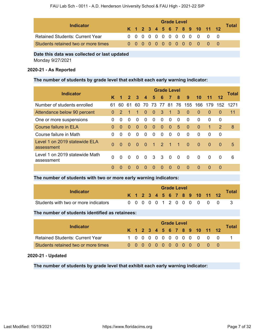| Indicator                              | <b>Grade Level</b> |  |  |  |  |  |  |  |  |  |  |                              |  |              |  |
|----------------------------------------|--------------------|--|--|--|--|--|--|--|--|--|--|------------------------------|--|--------------|--|
|                                        |                    |  |  |  |  |  |  |  |  |  |  | K 1 2 3 4 5 6 7 8 9 10 11 12 |  | <b>Total</b> |  |
| <b>Retained Students: Current Year</b> |                    |  |  |  |  |  |  |  |  |  |  | 0 0 0 0 0 0 0 0 0 0 0 0 0    |  |              |  |
| Students retained two or more times    |                    |  |  |  |  |  |  |  |  |  |  | 00000000000000               |  |              |  |

### **Date this data was collected or last updated**

Monday 9/27/2021

### **2020-21 - As Reported**

### **The number of students by grade level that exhibit each early warning indicator:**

|                                              |          |               |              |          |                  |                      |                         | <b>Grade Level</b>   |                |                |          |              |               | Total |
|----------------------------------------------|----------|---------------|--------------|----------|------------------|----------------------|-------------------------|----------------------|----------------|----------------|----------|--------------|---------------|-------|
| <b>Indicator</b>                             | ĸ        | 1             | $\mathbf{2}$ | 3        | $\boldsymbol{4}$ | 5                    | 6                       | $\overline{7}$       | 8              | 9              | 10       | 11           | 12            |       |
| Number of students enrolled                  | 61       | 60            | 61           | 60       | 70               | 73                   | 77                      | 81                   | 76             | 155            | 166      | 179          | 152           | 1271  |
| Attendance below 90 percent                  | $\Omega$ | $\mathcal{P}$ | 1            | 1        | $\Omega$         | $\Omega$             | 3                       | 1                    | 3              | $\Omega$       | $\Omega$ | $\Omega$     | $\Omega$      | 11    |
| One or more suspensions                      | 0        | 0             | $\Omega$     | $\Omega$ | $\Omega$         | $\Omega$             | $\Omega$                | $\Omega$             | $\Omega$       | $\Omega$       | $\Omega$ | $\Omega$     | 0             |       |
| <b>Course failure in ELA</b>                 | $\Omega$ | $\Omega$      | $\Omega$     | $\Omega$ | $\Omega$         | $\Omega$             | $\Omega$                | $\Omega$             | 5              | $\Omega$       | $\Omega$ | $\mathbf{1}$ | $\mathcal{P}$ | 8     |
| Course failure in Math                       | 0        | 0             | $\Omega$     | $\Omega$ | $\Omega$         | $\Omega$             | $\Omega$                | $\Omega$             | 0              | $\Omega$       | $\Omega$ | $\Omega$     | 0             |       |
| Level 1 on 2019 statewide ELA<br>assessment  | $\Omega$ | $\Omega$      | $\Omega$     | $\Omega$ | $\Omega$         | $\blacktriangleleft$ | <sup>2</sup>            | $\blacktriangleleft$ | $\overline{1}$ | $\overline{0}$ | $\Omega$ | $\Omega$     | $\Omega$      | 5     |
| Level 1 on 2019 statewide Math<br>assessment | $\Omega$ | $\Omega$      | $\Omega$     | $\Omega$ | $\overline{0}$   | $\mathbf{3}$         | $\overline{\mathbf{3}}$ | $\overline{0}$       | $\overline{0}$ | $\Omega$       | $\Omega$ | $\Omega$     | $\Omega$      | 6     |
|                                              | $\Omega$ | $\Omega$      | $\Omega$     | $\Omega$ | $\Omega$         | $\Omega$             | $\Omega$                | $\Omega$             | $\mathbf 0$    | $\Omega$       | $\Omega$ | $\Omega$     | $\Omega$      |       |

# **The number of students with two or more early warning indicators:**

| Indicator                            |  |  |  |  | <b>Grade Level</b> |  |                              |              |
|--------------------------------------|--|--|--|--|--------------------|--|------------------------------|--------------|
|                                      |  |  |  |  |                    |  | K 1 2 3 4 5 6 7 8 9 10 11 12 | <b>Total</b> |
| Students with two or more indicators |  |  |  |  |                    |  | 0 0 0 0 0 1 2 0 0 0 0 0 0    |              |

## **The number of students identified as retainees:**

| Indicator                              | <b>Grade Level</b> |  |  |  |  |  |  |  |  |  |  |                              |               |              |  |
|----------------------------------------|--------------------|--|--|--|--|--|--|--|--|--|--|------------------------------|---------------|--------------|--|
|                                        |                    |  |  |  |  |  |  |  |  |  |  | K 1 2 3 4 5 6 7 8 9 10 11 12 |               | <b>Total</b> |  |
| <b>Retained Students: Current Year</b> |                    |  |  |  |  |  |  |  |  |  |  |                              | 1000000000000 |              |  |
| Students retained two or more times    |                    |  |  |  |  |  |  |  |  |  |  | 0000000000000                |               |              |  |

## **2020-21 - Updated**

**The number of students by grade level that exhibit each early warning indicator:**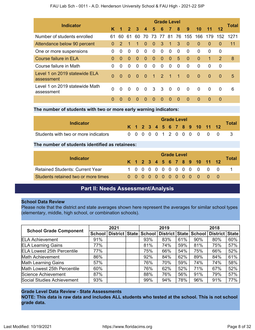### FAU Lab Sch - 0011 - A.D. Henderson University School & FAU High - 2021-22 SIP

|                                              |          |               |                |          |                  |                 |                | <b>Grade Level</b>   |                |                |                |          |               | Total |
|----------------------------------------------|----------|---------------|----------------|----------|------------------|-----------------|----------------|----------------------|----------------|----------------|----------------|----------|---------------|-------|
| <b>Indicator</b>                             | K        | 1             | $\overline{2}$ | 3        | $\boldsymbol{4}$ | 5               | 6              | 7                    | 8              | 9              | 10             | 11       | 12            |       |
| Number of students enrolled                  | 61       | 60            | 61             | 60       | 70.              | 73              | 77             | 81                   | 76             | 155            | 166            | 179      | 152           | 1271  |
| Attendance below 90 percent                  | $\Omega$ | $\mathcal{P}$ |                |          | $\Omega$         | $\overline{0}$  | -3             | $\overline{1}$       | 3              | $\mathbf 0$    | $\Omega$       | $\Omega$ | $\Omega$      | 11    |
| One or more suspensions                      | 0        | $\Omega$      | $\Omega$       | $\Omega$ | $\Omega$         | $\Omega$        | $\Omega$       | $\Omega$             | $\Omega$       | $\Omega$       | $\Omega$       | $\Omega$ | $\Omega$      |       |
| <b>Course failure in ELA</b>                 | $\Omega$ | $\Omega$      | $\Omega$       | $\Omega$ | $\Omega$         | $\Omega$        | $\Omega$       | $\Omega$             | 5              | $\Omega$       | $\Omega$       | 1        | $\mathcal{P}$ | 8     |
| Course failure in Math                       | 0        | $\Omega$      | $\Omega$       | $\Omega$ | $\Omega$         | $\Omega$        | $\Omega$       | $\Omega$             | $\Omega$       | $\Omega$       | $\Omega$       | $\Omega$ | $\Omega$      |       |
| Level 1 on 2019 statewide ELA<br>assessment  | $\Omega$ | $\Omega$      | $\Omega$       | $\Omega$ | $\Omega$         | $\blacklozenge$ | $\overline{2}$ | $\blacktriangleleft$ | $\overline{1}$ | $\overline{0}$ | $\overline{0}$ | $\Omega$ | $\Omega$      | 5     |
| Level 1 on 2019 statewide Math<br>assessment | $\Omega$ | $\Omega$      | $\Omega$       | $\Omega$ | $\Omega$         | $3 \quad 3$     |                | - 0                  | $\overline{0}$ | $\Omega$       | $\Omega$       | $\Omega$ | $\Omega$      | 6     |
|                                              | $\Omega$ | $\Omega$      | $\Omega$       | $\Omega$ | $\Omega$         | $\Omega$        | $\Omega$       | $\Omega$             | $\Omega$       | $\Omega$       | $\Omega$       | $\Omega$ | $\Omega$      |       |

**The number of students with two or more early warning indicators:**

| Indicator                            |  |  |  |  | <b>Grade Level</b> |                              |                           |              |
|--------------------------------------|--|--|--|--|--------------------|------------------------------|---------------------------|--------------|
|                                      |  |  |  |  |                    | K 1 2 3 4 5 6 7 8 9 10 11 12 |                           | <b>Total</b> |
| Students with two or more indicators |  |  |  |  |                    |                              | 0 0 0 0 0 1 2 0 0 0 0 0 0 |              |

## **The number of students identified as retainees:**

|                                        |  |  |  | <b>Grade Level</b> |  |  |                              |              |
|----------------------------------------|--|--|--|--------------------|--|--|------------------------------|--------------|
| Indicator                              |  |  |  |                    |  |  | K 1 2 3 4 5 6 7 8 9 10 11 12 | <b>Total</b> |
| <b>Retained Students: Current Year</b> |  |  |  |                    |  |  | 1 0 0 0 0 0 0 0 0 0 0 0      |              |
| Students retained two or more times    |  |  |  |                    |  |  |                              |              |

# **Part II: Needs Assessment/Analysis**

### <span id="page-7-0"></span>**School Data Review**

Please note that the district and state averages shown here represent the averages for similar school types (elementary, middle, high school, or combination schools).

| <b>School Grade Component</b>     |     | 2021                      | 2019   |                |     | 2018          |                |     |
|-----------------------------------|-----|---------------------------|--------|----------------|-----|---------------|----------------|-----|
|                                   |     | School   District   State | School | District State |     | <b>School</b> | District State |     |
| <b>ELA Achievement</b>            | 91% |                           | 93%    | 83%            | 61% | 90%           | 80%            | 60% |
| <b>ELA Learning Gains</b>         | 77% |                           | 81%    | 74%            | 59% | 81%           | 75%            | 57% |
| <b>ELA Lowest 25th Percentile</b> | 77% |                           | 75%    | 66%            | 54% | 75%           | 66%            | 52% |
| Math Achievement                  | 86% |                           | 92%    | 84%            | 62% | 89%           | 84%            | 61% |
| <b>Math Learning Gains</b>        | 57% |                           | 76%    | 70%            | 59% | 74%           | 74%            | 58% |
| Math Lowest 25th Percentile       | 60% |                           | 76%    | 62%            | 52% | 71%           | 67%            | 52% |
| Science Achievement               | 87% |                           | 88%    | 76%            | 56% | 91%           | 79%            | 57% |
| Social Studies Achievement        | 93% |                           | 99%    | 94%            | 78% | 96%           | 91%            | 77% |

# **Grade Level Data Review - State Assessments**

**NOTE: This data is raw data and includes ALL students who tested at the school. This is not school grade data.**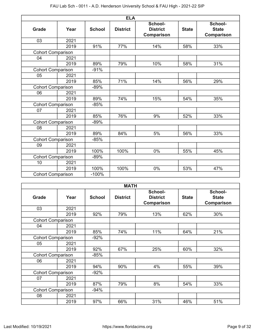|                          |      |               | <b>ELA</b>      |                                          |              |                                       |
|--------------------------|------|---------------|-----------------|------------------------------------------|--------------|---------------------------------------|
| <b>Grade</b>             | Year | <b>School</b> | <b>District</b> | School-<br><b>District</b><br>Comparison | <b>State</b> | School-<br><b>State</b><br>Comparison |
| 03                       | 2021 |               |                 |                                          |              |                                       |
|                          | 2019 | 91%           | 77%             | 14%                                      | 58%          | 33%                                   |
| <b>Cohort Comparison</b> |      |               |                 |                                          |              |                                       |
| 04                       | 2021 |               |                 |                                          |              |                                       |
|                          | 2019 | 89%           | 79%             | 10%                                      | 58%          | 31%                                   |
| <b>Cohort Comparison</b> |      | $-91%$        |                 |                                          |              |                                       |
| 05                       | 2021 |               |                 |                                          |              |                                       |
|                          | 2019 | 85%           | 71%             | 14%                                      | 56%          | 29%                                   |
| <b>Cohort Comparison</b> |      | $-89%$        |                 |                                          |              |                                       |
| 06                       | 2021 |               |                 |                                          |              |                                       |
|                          | 2019 | 89%           | 74%             | 15%                                      | 54%          | 35%                                   |
| <b>Cohort Comparison</b> |      | $-85%$        |                 |                                          |              |                                       |
| 07                       | 2021 |               |                 |                                          |              |                                       |
|                          | 2019 | 85%           | 76%             | 9%                                       | 52%          | 33%                                   |
| <b>Cohort Comparison</b> |      | $-89%$        |                 |                                          |              |                                       |
| 08                       | 2021 |               |                 |                                          |              |                                       |
|                          | 2019 | 89%           | 84%             | 5%                                       | 56%          | 33%                                   |
| <b>Cohort Comparison</b> |      | $-85%$        |                 |                                          |              |                                       |
| 09                       | 2021 |               |                 |                                          |              |                                       |
|                          | 2019 | 100%          | 100%            | 0%                                       | 55%          | 45%                                   |
| <b>Cohort Comparison</b> |      | $-89%$        |                 |                                          |              |                                       |
| 10                       | 2021 |               |                 |                                          |              |                                       |
|                          | 2019 | 100%          | 100%            | 0%                                       | 53%          | 47%                                   |
| <b>Cohort Comparison</b> |      | $-100%$       |                 |                                          |              |                                       |

|                          |      |               | <b>MATH</b>     |                                          |              |                                       |
|--------------------------|------|---------------|-----------------|------------------------------------------|--------------|---------------------------------------|
| Grade                    | Year | <b>School</b> | <b>District</b> | School-<br><b>District</b><br>Comparison | <b>State</b> | School-<br><b>State</b><br>Comparison |
| 03                       | 2021 |               |                 |                                          |              |                                       |
|                          | 2019 | 92%           | 79%             | 13%                                      | 62%          | 30%                                   |
| <b>Cohort Comparison</b> |      |               |                 |                                          |              |                                       |
| 04                       | 2021 |               |                 |                                          |              |                                       |
|                          | 2019 | 85%           | 74%             | 11%                                      | 64%          | 21%                                   |
| <b>Cohort Comparison</b> |      | $-92%$        |                 |                                          |              |                                       |
| 05                       | 2021 |               |                 |                                          |              |                                       |
|                          | 2019 | 92%           | 67%             | 25%                                      | 60%          | 32%                                   |
| <b>Cohort Comparison</b> |      | $-85%$        |                 |                                          |              |                                       |
| 06                       | 2021 |               |                 |                                          |              |                                       |
|                          | 2019 | 94%           | 90%             | 4%                                       | 55%          | 39%                                   |
| <b>Cohort Comparison</b> |      | $-92%$        |                 |                                          |              |                                       |
| 07                       | 2021 |               |                 |                                          |              |                                       |
|                          | 2019 | 87%           | 79%             | 8%                                       | 54%          | 33%                                   |
| <b>Cohort Comparison</b> |      | $-94%$        |                 |                                          |              |                                       |
| 08                       | 2021 |               |                 |                                          |              |                                       |
|                          | 2019 | 97%           | 66%             | 31%                                      | 46%          | 51%                                   |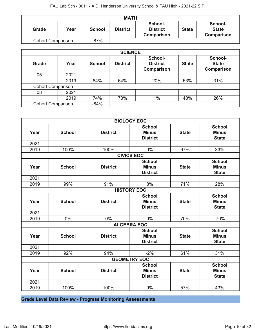| <b>MATH</b>              |      |               |                 |                                                 |              |                                       |  |
|--------------------------|------|---------------|-----------------|-------------------------------------------------|--------------|---------------------------------------|--|
| Grade                    | Year | <b>School</b> | <b>District</b> | School-<br><b>District</b><br><b>Comparison</b> | <b>State</b> | School-<br><b>State</b><br>Comparison |  |
| <b>Cohort Comparison</b> |      | $-87%$        |                 |                                                 |              |                                       |  |

|                          | <b>SCIENCE</b> |               |                 |                                          |              |                                              |  |  |  |
|--------------------------|----------------|---------------|-----------------|------------------------------------------|--------------|----------------------------------------------|--|--|--|
| <b>Grade</b>             | Year           | <b>School</b> | <b>District</b> | School-<br><b>District</b><br>Comparison | <b>State</b> | School-<br><b>State</b><br><b>Comparison</b> |  |  |  |
| 05                       | 2021           |               |                 |                                          |              |                                              |  |  |  |
|                          | 2019           | 84%           | 64%             | 20%                                      | 53%          | 31%                                          |  |  |  |
| <b>Cohort Comparison</b> |                |               |                 |                                          |              |                                              |  |  |  |
| 08                       | 2021           |               |                 |                                          |              |                                              |  |  |  |
|                          | 2019           | 74%           | 73%             | $1\%$                                    | 48%          | 26%                                          |  |  |  |
| <b>Cohort Comparison</b> |                | $-84%$        |                 |                                          |              |                                              |  |  |  |

| <b>BIOLOGY EOC</b> |                    |                 |                                                  |              |                                               |  |  |
|--------------------|--------------------|-----------------|--------------------------------------------------|--------------|-----------------------------------------------|--|--|
| Year               | <b>School</b>      | <b>District</b> | <b>School</b><br><b>Minus</b><br><b>District</b> | <b>State</b> | <b>School</b><br><b>Minus</b><br><b>State</b> |  |  |
| 2021               |                    |                 |                                                  |              |                                               |  |  |
| 2019               | 100%               | 100%            | $0\%$                                            | 67%          | 33%                                           |  |  |
|                    |                    |                 | <b>CIVICS EOC</b>                                |              |                                               |  |  |
| Year               | <b>School</b>      | <b>District</b> | <b>School</b><br><b>Minus</b><br><b>District</b> | <b>State</b> | <b>School</b><br><b>Minus</b><br><b>State</b> |  |  |
| 2021               |                    |                 |                                                  |              |                                               |  |  |
| 2019               | 99%                | 91%             | 8%                                               | 71%          | 28%                                           |  |  |
|                    | <b>HISTORY EOC</b> |                 |                                                  |              |                                               |  |  |
| Year               | <b>School</b>      | <b>District</b> | <b>School</b><br><b>Minus</b><br><b>District</b> | <b>State</b> | <b>School</b><br><b>Minus</b><br><b>State</b> |  |  |
| 2021               |                    |                 |                                                  |              |                                               |  |  |
| 2019               | $0\%$              | $0\%$           | $0\%$                                            | 70%          | $-70%$                                        |  |  |
|                    |                    |                 | <b>ALGEBRA EOC</b>                               |              |                                               |  |  |
| Year               | <b>School</b>      | <b>District</b> | <b>School</b><br><b>Minus</b><br><b>District</b> | <b>State</b> | <b>School</b><br><b>Minus</b><br><b>State</b> |  |  |
| 2021               |                    |                 |                                                  |              |                                               |  |  |
| 2019               | 92%                | 94%             | $-2%$                                            | 61%          | 31%                                           |  |  |
|                    |                    |                 | <b>GEOMETRY EOC</b>                              |              |                                               |  |  |
| Year               | <b>School</b>      | <b>District</b> | <b>School</b><br><b>Minus</b><br><b>District</b> | <b>State</b> | <b>School</b><br><b>Minus</b><br><b>State</b> |  |  |
| 2021               |                    |                 |                                                  |              |                                               |  |  |
| 2019               | 100%               | 100%            | 0%                                               | 57%          | 43%                                           |  |  |

**Grade Level Data Review - Progress Monitoring Assessments**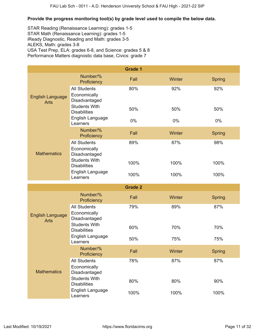# **Provide the progress monitoring tool(s) by grade level used to compile the below data.**

STAR Reading (Renaissance Learning): grades 1-5 STAR Math (Renaissance Learning): grades 1-5 iReady Diagnostic, Reading and Math: grades 3-5 ALEKS, Math: grades 3-8 USA Test Prep, ELA: grades 6-8, and Science: grades 5 & 8 Performance Matters diagnostic data base, Civics: grade 7

|                                        |                                                                 | <b>Grade 1</b> |        |               |
|----------------------------------------|-----------------------------------------------------------------|----------------|--------|---------------|
|                                        | Number/%<br>Proficiency                                         | Fall           | Winter | <b>Spring</b> |
| <b>English Language</b><br><b>Arts</b> | <b>All Students</b><br>Economically<br>Disadvantaged            | 80%            | 92%    | 92%           |
|                                        | <b>Students With</b><br><b>Disabilities</b>                     | 50%            | 50%    | 50%           |
|                                        | English Language<br>Learners                                    | $0\%$          | 0%     | $0\%$         |
|                                        | Number/%<br>Proficiency                                         | Fall           | Winter | <b>Spring</b> |
| <b>Mathematics</b>                     | <b>All Students</b><br>Economically<br>Disadvantaged            | 89%            | 87%    | 98%           |
|                                        | <b>Students With</b><br><b>Disabilities</b>                     | 100%           | 100%   | 100%          |
|                                        | English Language<br>Learners                                    | 100%           | 100%   | 100%          |
|                                        |                                                                 |                |        |               |
|                                        |                                                                 | <b>Grade 2</b> |        |               |
|                                        | Number/%<br>Proficiency                                         | Fall           | Winter | <b>Spring</b> |
| <b>English Language</b><br><b>Arts</b> | <b>All Students</b><br>Economically<br>Disadvantaged            | 79%            | 89%    | 87%           |
|                                        | <b>Students With</b><br><b>Disabilities</b>                     | 60%            | 70%    | 70%           |
|                                        | English Language<br>Learners                                    | 50%            | 75%    | 75%           |
|                                        | Number/%<br>Proficiency                                         | Fall           | Winter | <b>Spring</b> |
| <b>Mathematics</b>                     | <b>All Students</b><br>Economically<br>Disadvantaged            | 78%            | 87%    | 87%           |
|                                        | <b>Students With</b><br><b>Disabilities</b><br>English Language | 80%            | 80%    | 90%           |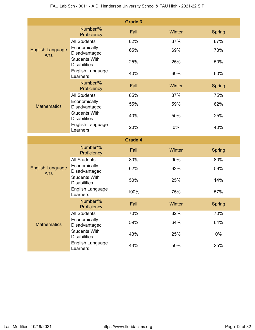|                                        |                                                                 | <b>Grade 3</b> |        |               |
|----------------------------------------|-----------------------------------------------------------------|----------------|--------|---------------|
|                                        | Number/%<br>Proficiency                                         | Fall           | Winter | <b>Spring</b> |
| <b>English Language</b><br><b>Arts</b> | <b>All Students</b>                                             | 82%            | 87%    | 87%           |
|                                        | Economically<br>Disadvantaged                                   | 65%            | 69%    | 73%           |
|                                        | <b>Students With</b><br><b>Disabilities</b>                     | 25%            | 25%    | 50%           |
|                                        | English Language<br>Learners                                    | 40%            | 60%    | 60%           |
|                                        | Number/%<br>Proficiency                                         | Fall           | Winter | <b>Spring</b> |
|                                        | <b>All Students</b>                                             | 85%            | 87%    | 75%           |
| <b>Mathematics</b>                     | Economically<br>Disadvantaged                                   | 55%            | 59%    | 62%           |
|                                        | <b>Students With</b><br><b>Disabilities</b>                     | 40%            | 50%    | 25%           |
|                                        | English Language<br>Learners                                    | 20%            | 0%     | 40%           |
|                                        |                                                                 |                |        |               |
|                                        |                                                                 | <b>Grade 4</b> |        |               |
|                                        | Number/%<br>Proficiency                                         | Fall           | Winter | <b>Spring</b> |
|                                        | <b>All Students</b>                                             | 80%            | 90%    | 80%           |
| <b>English Language</b>                | Economically<br>Disadvantaged                                   | 62%            | 62%    | 59%           |
| <b>Arts</b>                            | <b>Students With</b><br><b>Disabilities</b>                     | 50%            | 25%    | 14%           |
|                                        | English Language<br>Learners                                    | 100%           | 75%    | 57%           |
|                                        | Number/%<br>Proficiency                                         | Fall           | Winter | <b>Spring</b> |
|                                        | <b>All Students</b>                                             | 70%            | 82%    | 70%           |
| <b>Mathematics</b>                     | Economically<br>Disadvantaged                                   | 59%            | 64%    | 64%           |
|                                        | <b>Students With</b><br><b>Disabilities</b><br>English Language | 43%            | 25%    | 0%            |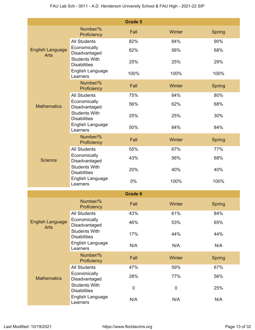|                                        |                                             | <b>Grade 5</b> |               |               |
|----------------------------------------|---------------------------------------------|----------------|---------------|---------------|
|                                        | Number/%<br>Proficiency                     | Fall           | <b>Winter</b> | Spring        |
| <b>English Language</b><br><b>Arts</b> | <b>All Students</b>                         | 82%            | 84%           | 90%           |
|                                        | Economically<br>Disadvantaged               | 62%            | 56%           | 68%           |
|                                        | <b>Students With</b><br><b>Disabilities</b> | 25%            | 25%           | 29%           |
|                                        | English Language<br>Learners                | 100%           | 100%          | 100%          |
|                                        | Number/%<br>Proficiency                     | Fall           | Winter        | <b>Spring</b> |
|                                        | <b>All Students</b>                         | 75%            | 84%           | 80%           |
| <b>Mathematics</b>                     | Economically<br>Disadvantaged               | 56%            | 62%           | 68%           |
|                                        | <b>Students With</b><br><b>Disabilities</b> | 25%            | 25%           | 30%           |
|                                        | English Language<br>Learners                | 50%            | 84%           | 84%           |
|                                        | Number/%<br>Proficiency                     | Fall           | Winter        | <b>Spring</b> |
|                                        | <b>All Students</b>                         | 55%            | 67%           | 77%           |
| <b>Science</b>                         | Economically<br>Disadvantaged               | 43%            | 56%           | 68%           |
|                                        | <b>Students With</b><br><b>Disabilities</b> | 20%            | 40%           | 40%           |
|                                        | English Language<br>Learners                | 0%             | 100%          | 100%          |
|                                        |                                             | <b>Grade 6</b> |               |               |
|                                        | Number/%<br>Proficiency                     | Fall           | Winter        | <b>Spring</b> |
|                                        | <b>All Students</b>                         | 43%            | 61%           | 84%           |
| <b>English Language</b><br><b>Arts</b> | Economically<br>Disadvantaged               | 46%            | 53%           | 65%           |
|                                        | <b>Students With</b><br><b>Disabilities</b> | 17%            | 44%           | 44%           |
|                                        | English Language<br>Learners                | N/A            | N/A           | N/A           |
|                                        | Number/%<br>Proficiency                     | Fall           | Winter        | <b>Spring</b> |
|                                        | <b>All Students</b>                         | 47%            | 59%           | 67%           |
| <b>Mathematics</b>                     | Economically<br>Disadvantaged               | 28%            | 77%           | 56%           |
|                                        | <b>Students With</b><br><b>Disabilities</b> | $\mathbf 0$    | $\mathbf 0$   | 25%           |
|                                        | English Language<br>Learners                | N/A            | N/A           | N/A           |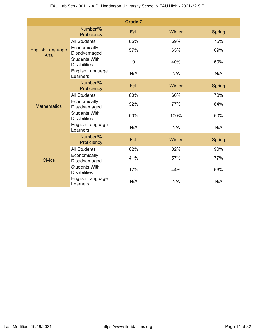|                                        |                                             | <b>Grade 7</b> |        |               |
|----------------------------------------|---------------------------------------------|----------------|--------|---------------|
| <b>English Language</b><br><b>Arts</b> | Number/%<br>Proficiency                     | Fall           | Winter | Spring        |
|                                        | <b>All Students</b>                         | 65%            | 69%    | 75%           |
|                                        | Economically<br>Disadvantaged               | 57%            | 65%    | 69%           |
|                                        | <b>Students With</b><br><b>Disabilities</b> | $\mathbf 0$    | 40%    | 60%           |
|                                        | English Language<br>Learners                | N/A            | N/A    | N/A           |
|                                        | Number/%<br>Proficiency                     | Fall           | Winter | Spring        |
|                                        | <b>All Students</b>                         | 60%            | 60%    | 70%           |
| <b>Mathematics</b>                     | Economically<br>Disadvantaged               | 92%            | 77%    | 84%           |
|                                        | <b>Students With</b><br><b>Disabilities</b> | 50%            | 100%   | 50%           |
|                                        | English Language<br>Learners                | N/A            | N/A    | N/A           |
|                                        | Number/%<br>Proficiency                     | Fall           | Winter | <b>Spring</b> |
|                                        | <b>All Students</b>                         | 62%            | 82%    | 90%           |
| <b>Civics</b>                          | Economically<br>Disadvantaged               | 41%            | 57%    | 77%           |
|                                        | <b>Students With</b><br><b>Disabilities</b> | 17%            | 44%    | 66%           |
|                                        | English Language<br>Learners                | N/A            | N/A    | N/A           |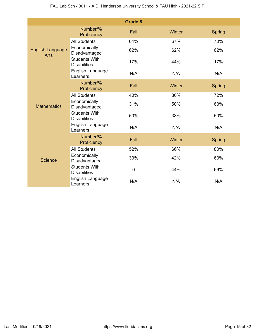|                                        |                                             | <b>Grade 8</b> |        |               |
|----------------------------------------|---------------------------------------------|----------------|--------|---------------|
|                                        | Number/%<br>Proficiency                     | Fall           | Winter | Spring        |
| <b>English Language</b><br><b>Arts</b> | <b>All Students</b>                         | 64%            | 67%    | 70%           |
|                                        | Economically<br>Disadvantaged               | 62%            | 62%    | 62%           |
|                                        | <b>Students With</b><br><b>Disabilities</b> | 17%            | 44%    | 17%           |
|                                        | English Language<br>Learners                | N/A            | N/A    | N/A           |
|                                        | Number/%<br>Proficiency                     | Fall           | Winter | <b>Spring</b> |
|                                        | <b>All Students</b>                         | 40%            | 80%    | 72%           |
| <b>Mathematics</b>                     | Economically<br>Disadvantaged               | 31%            | 50%    | 63%           |
|                                        | <b>Students With</b><br><b>Disabilities</b> | 50%            | 33%    | 50%           |
|                                        | English Language<br>Learners                | N/A            | N/A    | N/A           |
|                                        | Number/%<br>Proficiency                     | Fall           | Winter | Spring        |
|                                        | <b>All Students</b>                         | 52%            | 66%    | 80%           |
| <b>Science</b>                         | Economically<br>Disadvantaged               | 33%            | 42%    | 63%           |
|                                        | <b>Students With</b><br><b>Disabilities</b> | $\overline{0}$ | 44%    | 66%           |
|                                        | English Language<br>Learners                | N/A            | N/A    | N/A           |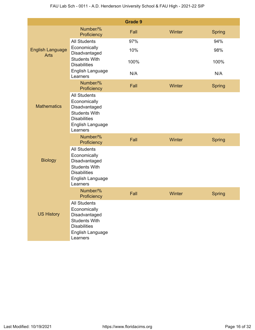|                                        |                                                                                                                                     | <b>Grade 9</b> |        |               |
|----------------------------------------|-------------------------------------------------------------------------------------------------------------------------------------|----------------|--------|---------------|
|                                        | Number/%<br>Proficiency                                                                                                             | Fall           | Winter | <b>Spring</b> |
| <b>English Language</b><br><b>Arts</b> | <b>All Students</b>                                                                                                                 | 97%            |        | 94%           |
|                                        | Economically<br>Disadvantaged                                                                                                       | 10%            |        | 98%           |
|                                        | <b>Students With</b><br><b>Disabilities</b>                                                                                         | 100%           |        | 100%          |
|                                        | English Language<br>Learners                                                                                                        | N/A            |        | N/A           |
|                                        | Number/%<br>Proficiency                                                                                                             | Fall           | Winter | <b>Spring</b> |
| <b>Mathematics</b>                     | <b>All Students</b><br>Economically<br>Disadvantaged<br><b>Students With</b><br><b>Disabilities</b><br>English Language<br>Learners |                |        |               |
|                                        | Number/%<br>Proficiency                                                                                                             | Fall           | Winter | <b>Spring</b> |
| <b>Biology</b>                         | <b>All Students</b><br>Economically<br>Disadvantaged<br><b>Students With</b><br><b>Disabilities</b><br>English Language<br>Learners |                |        |               |
|                                        | Number/%<br>Proficiency                                                                                                             | Fall           | Winter | Spring        |
| <b>US History</b>                      | <b>All Students</b><br>Economically<br>Disadvantaged<br><b>Students With</b><br><b>Disabilities</b><br>English Language<br>Learners |                |        |               |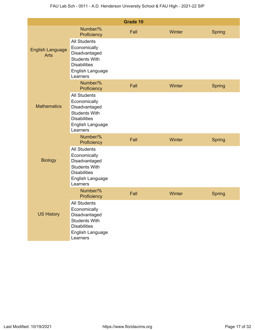|                                        |                                                                                                                                     | Grade 10 |        |               |
|----------------------------------------|-------------------------------------------------------------------------------------------------------------------------------------|----------|--------|---------------|
|                                        | Number/%<br>Proficiency                                                                                                             | Fall     | Winter | <b>Spring</b> |
| <b>English Language</b><br><b>Arts</b> | <b>All Students</b><br>Economically<br>Disadvantaged<br><b>Students With</b><br><b>Disabilities</b><br>English Language<br>Learners |          |        |               |
|                                        | Number/%<br>Proficiency                                                                                                             | Fall     | Winter | <b>Spring</b> |
| <b>Mathematics</b>                     | <b>All Students</b><br>Economically<br>Disadvantaged<br><b>Students With</b><br><b>Disabilities</b><br>English Language<br>Learners |          |        |               |
|                                        | Number/%<br>Proficiency                                                                                                             | Fall     | Winter | <b>Spring</b> |
| <b>Biology</b>                         | <b>All Students</b><br>Economically<br>Disadvantaged<br><b>Students With</b><br><b>Disabilities</b><br>English Language<br>Learners |          |        |               |
|                                        | Number/%<br>Proficiency                                                                                                             | Fall     | Winter | <b>Spring</b> |
| <b>US History</b>                      | <b>All Students</b><br>Economically<br>Disadvantaged<br><b>Students With</b><br><b>Disabilities</b><br>English Language<br>Learners |          |        |               |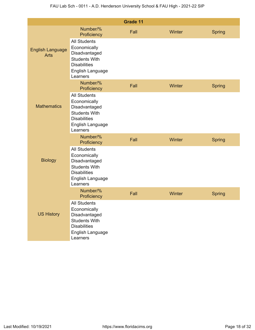|                                        |                                                                                                                                     | Grade 11 |        |               |
|----------------------------------------|-------------------------------------------------------------------------------------------------------------------------------------|----------|--------|---------------|
|                                        | Number/%<br>Proficiency                                                                                                             | Fall     | Winter | <b>Spring</b> |
| <b>English Language</b><br><b>Arts</b> | <b>All Students</b><br>Economically<br>Disadvantaged<br><b>Students With</b><br><b>Disabilities</b><br>English Language<br>Learners |          |        |               |
|                                        | Number/%<br>Proficiency                                                                                                             | Fall     | Winter | <b>Spring</b> |
| <b>Mathematics</b>                     | <b>All Students</b><br>Economically<br>Disadvantaged<br><b>Students With</b><br><b>Disabilities</b><br>English Language<br>Learners |          |        |               |
|                                        | Number/%<br>Proficiency                                                                                                             | Fall     | Winter | <b>Spring</b> |
| <b>Biology</b>                         | <b>All Students</b><br>Economically<br>Disadvantaged<br><b>Students With</b><br><b>Disabilities</b><br>English Language<br>Learners |          |        |               |
|                                        | Number/%<br>Proficiency                                                                                                             | Fall     | Winter | <b>Spring</b> |
| <b>US History</b>                      | <b>All Students</b><br>Economically<br>Disadvantaged<br><b>Students With</b><br><b>Disabilities</b><br>English Language<br>Learners |          |        |               |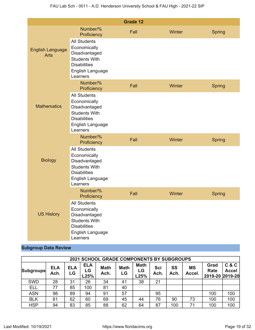|                                        |                                                                                                                                     | <b>Grade 12</b> |        |               |
|----------------------------------------|-------------------------------------------------------------------------------------------------------------------------------------|-----------------|--------|---------------|
|                                        | Number/%<br>Proficiency                                                                                                             | Fall            | Winter | <b>Spring</b> |
| <b>English Language</b><br><b>Arts</b> | <b>All Students</b><br>Economically<br>Disadvantaged<br><b>Students With</b><br><b>Disabilities</b><br>English Language<br>Learners |                 |        |               |
|                                        | Number/%<br>Proficiency                                                                                                             | Fall            | Winter | <b>Spring</b> |
| <b>Mathematics</b>                     | <b>All Students</b><br>Economically<br>Disadvantaged<br><b>Students With</b><br><b>Disabilities</b><br>English Language<br>Learners |                 |        |               |
|                                        | Number/%<br>Proficiency                                                                                                             | Fall            | Winter | <b>Spring</b> |
| <b>Biology</b>                         | <b>All Students</b><br>Economically<br>Disadvantaged<br><b>Students With</b><br><b>Disabilities</b><br>English Language<br>Learners |                 |        |               |
|                                        | Number/%<br>Proficiency                                                                                                             | Fall            | Winter | <b>Spring</b> |
| <b>US History</b>                      | <b>All Students</b><br>Economically<br>Disadvantaged<br><b>Students With</b><br><b>Disabilities</b><br>English Language<br>Learners |                 |        |               |

# **Subgroup Data Review**

|            | <b>2021 SCHOOL GRADE COMPONENTS BY SUBGROUPS</b> |                  |                          |                     |                   |                           |             |            |                     |                                        |                       |
|------------|--------------------------------------------------|------------------|--------------------------|---------------------|-------------------|---------------------------|-------------|------------|---------------------|----------------------------------------|-----------------------|
| Subgroups  | <b>ELA</b><br>Ach.                               | <b>ELA</b><br>LG | <b>ELA</b><br>LG<br>L25% | <b>Math</b><br>Ach. | <b>Math</b><br>LG | <b>Math</b><br>LG<br>L25% | Sci<br>Ach. | SS<br>Ach. | <b>MS</b><br>Accel. | Grad<br><b>Rate</b><br>2019-20 2019-20 | C & C<br><b>Accel</b> |
| <b>SWD</b> | 28                                               | 31               | 26                       | 34                  | 41                | 38                        | 21          |            |                     |                                        |                       |
| <b>ELL</b> | 77                                               | 85               | 100                      | 81                  | 40                |                           |             |            |                     |                                        |                       |
| <b>ASN</b> | 98                                               | 89               | 94                       | 91                  | 57                |                           | 95          |            |                     | 100                                    | 100                   |
| <b>BLK</b> | 81                                               | 62               | 60                       | 69                  | 45                | 44                        | 76          | 90         | 73                  | 100                                    | 100                   |
| <b>HSP</b> | 94                                               | 83               | 85                       | 88                  | 62                | 64                        | 87          | 100        | 71                  | 100                                    | 100                   |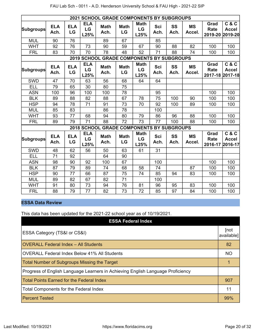|            | <b>2021 SCHOOL GRADE COMPONENTS BY SUBGROUPS</b> |                  |                          |                     |                   |                                      |                    |            |                     |                                                                 |                                  |
|------------|--------------------------------------------------|------------------|--------------------------|---------------------|-------------------|--------------------------------------|--------------------|------------|---------------------|-----------------------------------------------------------------|----------------------------------|
| Subgroups  | <b>ELA</b><br>Ach.                               | <b>ELA</b><br>LG | <b>ELA</b><br>LG<br>L25% | <b>Math</b><br>Ach. | <b>Math</b><br>LG | <b>Math</b><br>LG<br>L25%            | <b>Sci</b><br>Ach. | SS<br>Ach. | <b>MS</b><br>Accel. | Grad<br><b>Rate</b><br>2019-20                                  | C & C<br><b>Accel</b><br>2019-20 |
| <b>MUL</b> | 90                                               | 76               |                          | 89                  | 67                |                                      | 85                 |            |                     |                                                                 |                                  |
| <b>WHT</b> | 92                                               | 76               | 73                       | 90                  | 59                | 67                                   | 90                 | 88         | 82                  | 100                                                             | 100                              |
| <b>FRL</b> | 83                                               | 70               | 70                       | 78                  | 48                | 52                                   | 71                 | 88         | 74                  | 100                                                             | 100                              |
|            |                                                  |                  | 2019 SCHOOL              |                     |                   | <b>GRADE COMPONENTS BY SUBGROUPS</b> |                    |            |                     |                                                                 |                                  |
| Subgroups  | <b>ELA</b><br>Ach.                               | <b>ELA</b><br>LG | <b>ELA</b><br>LG<br>L25% | <b>Math</b><br>Ach. | <b>Math</b><br>LG | <b>Math</b><br>LG<br>L25%            | <b>Sci</b><br>Ach. | SS<br>Ach. | <b>MS</b><br>Accel. | C & C<br>Grad<br><b>Rate</b><br><b>Accel</b><br>2017-18 2017-18 |                                  |
| <b>SWD</b> | 47                                               | 70               | 63                       | 56                  | 68                | 64                                   | 64                 |            |                     |                                                                 |                                  |
| ELL        | 79                                               | 65               | 30                       | 80                  | 75                |                                      |                    |            |                     |                                                                 |                                  |
| <b>ASN</b> | 100                                              | 96               | 100                      | 100                 | $\overline{78}$   |                                      | 95                 |            |                     | 100                                                             | 100                              |
| <b>BLK</b> | 89                                               | 88               | 82                       | 88                  | 67                | 78                                   | 75                 | 100        | 90                  | 100                                                             | 100                              |
| <b>HSP</b> | 94                                               | 78               | 71                       | 91                  | 73                | 70                                   | 92                 | 100        | 89                  | 100                                                             | 100                              |
| <b>MUL</b> | 85                                               | 83               |                          | 86                  | 78                |                                      | 100                |            |                     |                                                                 |                                  |
| <b>WHT</b> | 93                                               | 77               | 68                       | 94                  | 80                | 79                                   | 86                 | 96         | 88                  | 100                                                             | 100                              |
| <b>FRL</b> | 89                                               | 79               | 71                       | 88                  | 72                | 73                                   | 77                 | 100        | 88                  | 100                                                             | 100                              |
|            |                                                  |                  | <b>2018 SCHOOL</b>       |                     |                   | <b>GRADE COMPONENTS BY SUBGROUPS</b> |                    |            |                     |                                                                 |                                  |
| Subgroups  | <b>ELA</b><br>Ach.                               | <b>ELA</b><br>LG | <b>ELA</b><br>LG<br>L25% | <b>Math</b><br>Ach. | <b>Math</b><br>LG | <b>Math</b><br>LG<br>L25%            | <b>Sci</b><br>Ach. | SS<br>Ach. | <b>MS</b><br>Accel. | Grad<br><b>Rate</b><br>2016-17                                  | C & C<br><b>Accel</b><br>2016-17 |
| <b>SWD</b> | 48                                               | 62               | 56                       | 50                  | 63                | 61                                   | 31                 |            |                     |                                                                 |                                  |
| ELL        | 71                                               | 92               |                          | 64                  | 90                |                                      |                    |            |                     |                                                                 |                                  |
| <b>ASN</b> | 98                                               | 90               | 92                       | 100                 | 67                |                                      | 100                |            |                     | 100                                                             | 100                              |
| <b>BLK</b> | 87                                               | 79               | 89                       | 74                  | 68                | 58                                   | 74                 |            | 87                  | 100                                                             | 100                              |
| <b>HSP</b> | 90                                               | 77               | 66                       | 87                  | 75                | 74                                   | 85                 | 94         | 83                  | 100                                                             | 100                              |
| <b>MUL</b> | 89                                               | 82               | 67                       | 82                  | 71                |                                      | 100                |            |                     |                                                                 |                                  |
| <b>WHT</b> | 91                                               | 80               | 73                       | 94                  | 76                | 81                                   | 96                 | 95         | 83                  | 100                                                             | 100                              |
| <b>FRL</b> | 88                                               | 79               | 77                       | 82                  | 73                | 72                                   | 85                 | 97         | 84                  | 100                                                             | 100                              |

# **ESSA Data Review**

This data has been updated for the 2021-22 school year as of 10/19/2021.

| <b>ESSA Federal Index</b>                                                       |                    |
|---------------------------------------------------------------------------------|--------------------|
| ESSA Category (TS&I or CS&I)                                                    | [not<br>available] |
| <b>OVERALL Federal Index - All Students</b>                                     | 82                 |
| OVERALL Federal Index Below 41% All Students                                    | NO.                |
| <b>Total Number of Subgroups Missing the Target</b>                             |                    |
| Progress of English Language Learners in Achieving English Language Proficiency |                    |
| <b>Total Points Earned for the Federal Index</b>                                | 907                |
| <b>Total Components for the Federal Index</b>                                   | 11                 |
| <b>Percent Tested</b>                                                           | 99%                |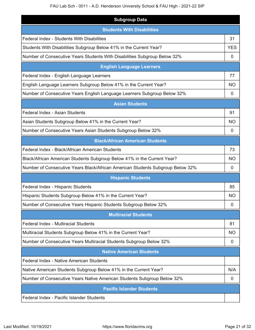# FAU Lab Sch - 0011 - A.D. Henderson University School & FAU High - 2021-22 SIP

| <b>Subgroup Data</b>                                                           |                |
|--------------------------------------------------------------------------------|----------------|
| <b>Students With Disabilities</b>                                              |                |
| <b>Federal Index - Students With Disabilities</b>                              | 31             |
| Students With Disabilities Subgroup Below 41% in the Current Year?             | <b>YES</b>     |
| Number of Consecutive Years Students With Disabilities Subgroup Below 32%      | 0              |
| <b>English Language Learners</b>                                               |                |
| Federal Index - English Language Learners                                      | 77             |
| English Language Learners Subgroup Below 41% in the Current Year?              | <b>NO</b>      |
| Number of Consecutive Years English Language Learners Subgroup Below 32%       | $\mathbf 0$    |
| <b>Asian Students</b>                                                          |                |
| Federal Index - Asian Students                                                 | 91             |
| Asian Students Subgroup Below 41% in the Current Year?                         | <b>NO</b>      |
| Number of Consecutive Years Asian Students Subgroup Below 32%                  | 0              |
| <b>Black/African American Students</b>                                         |                |
| Federal Index - Black/African American Students                                | 73             |
| Black/African American Students Subgroup Below 41% in the Current Year?        | <b>NO</b>      |
| Number of Consecutive Years Black/African American Students Subgroup Below 32% | $\overline{0}$ |
| <b>Hispanic Students</b>                                                       |                |
| Federal Index - Hispanic Students                                              | 85             |
| Hispanic Students Subgroup Below 41% in the Current Year?                      | NO             |
| Number of Consecutive Years Hispanic Students Subgroup Below 32%               | 0              |
| <b>Multiracial Students</b>                                                    |                |
| Federal Index - Multiracial Students                                           | 81             |
| Multiracial Students Subgroup Below 41% in the Current Year?                   | NO.            |
| Number of Consecutive Years Multiracial Students Subgroup Below 32%            | $\mathbf 0$    |
| <b>Native American Students</b>                                                |                |
| Federal Index - Native American Students                                       |                |
| Native American Students Subgroup Below 41% in the Current Year?               | N/A            |
| Number of Consecutive Years Native American Students Subgroup Below 32%        | 0              |
| <b>Pacific Islander Students</b>                                               |                |
| Federal Index - Pacific Islander Students                                      |                |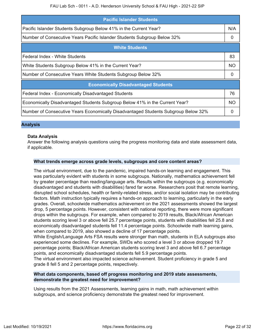| <b>Pacific Islander Students</b>                                                   |           |  |  |  |
|------------------------------------------------------------------------------------|-----------|--|--|--|
| Pacific Islander Students Subgroup Below 41% in the Current Year?                  | N/A       |  |  |  |
| Number of Consecutive Years Pacific Islander Students Subgroup Below 32%           |           |  |  |  |
| <b>White Students</b>                                                              |           |  |  |  |
| Federal Index - White Students                                                     | 83        |  |  |  |
| White Students Subgroup Below 41% in the Current Year?                             |           |  |  |  |
| Number of Consecutive Years White Students Subgroup Below 32%                      |           |  |  |  |
| <b>Economically Disadvantaged Students</b>                                         |           |  |  |  |
| Federal Index - Economically Disadvantaged Students                                | 76        |  |  |  |
| Economically Disadvantaged Students Subgroup Below 41% in the Current Year?        | <b>NO</b> |  |  |  |
| Number of Consecutive Years Economically Disadvantaged Students Subgroup Below 32% | 0         |  |  |  |

### **Analysis**

### **Data Analysis**

Answer the following analysis questions using the progress monitoring data and state assessment data, if applicable.

### **What trends emerge across grade levels, subgroups and core content areas?**

The virtual environment, due to the pandemic, impaired hands-on learning and engagement. This was particularly evident with students in some subgroups. Nationally, mathematics achievement fell by greater percentage than reading/language arts. Results within the subgroups (e.g. economically disadvantaged and students with disabilities) fared far worse. Researchers posit that remote learning, disrupted school schedules, health or family-related stress, and/or social isolation may be contributing factors. Math instruction typically requires a hands-on approach to learning, particularly in the early grades. Overall, schoolwide mathematics achievement on the 2021 assessments showed the largest drop, 5 percentage points. However, consistent with national reporting, there were more significant drops within the subgroups. For example, when compared to 2019 results, Black/African American students scoring level 3 or above fell 25.7 percentage points, students with disabilities fell 25.8 and economically disadvantaged students fell 11.4 percentage points. Schoolwide math learning gains, when compared to 2019, also showed a decline of 17 percentage points.

While English/Language Arts FSA results were stronger than math, students in ELA subgroups also experienced some declines. For example, SWDs who scored a level 3 or above dropped 19.7 percentage points; Black/African American students scoring level 3 and above fell 6.7 percentage points, and economically disadvantaged students fell 5.9 percentage points.

The virtual environment also impacted science achievement. Student proficiency in grade 5 and grade 8 fell 5 and 2 percentage points, respectively.

### **What data components, based off progress monitoring and 2019 state assessments, demonstrate the greatest need for improvement?**

Using results from the 2021 Assessments, learning gains in math, math achievement within subgroups, and science proficiency demonstrate the greatest need for improvement.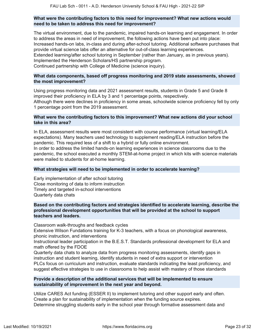### **What were the contributing factors to this need for improvement? What new actions would need to be taken to address this need for improvement?**

The virtual environment, due to the pandemic, impaired hands-on learning and engagement. In order to address the areas in need of improvement, the following actions have been put into place: Increased hands-on labs, in-class and during after-school tutoring. Additional software purchases that provide virtual science labs offer an alternative for out-of-class learning experiences. Extended learning/after school tutoring in September (rather than January, as in previous years). Implemented the Henderson Scholars/HS partnership program. Continued partnership with College of Medicine (science inquiry).

### **What data components, based off progress monitoring and 2019 state assessments, showed the most improvement?**

Using progress monitoring data and 2021 assessment results, students in Grade 5 and Grade 8 improved their proficiency in ELA by 3 and 1 percentage points, respectively. Although there were declines in proficiency in some areas, schoolwide science proficiency fell by only 1 percentage point from the 2019 assessment.

### **What were the contributing factors to this improvement? What new actions did your school take in this area?**

In ELA, assessment results were most consistent with course performance (virtual learning/ELA expectations). Many teachers used technology to supplement reading/ELA instruction before the pandemic. This required less of a shift to a hybrid or fully online environment. In order to address the limited hands-on learning experiences in science classrooms due to the pandemic, the school executed a monthly STEM-at-home project in which kits with science materials were mailed to students for at-home learning.

### **What strategies will need to be implemented in order to accelerate learning?**

Early implementation of after school tutoring Close monitoring of data to inform instruction Timely and targeted in-school interventions Quarterly data chats

### **Based on the contributing factors and strategies identified to accelerate learning, describe the professional development opportunities that will be provided at the school to support teachers and leaders.**

Classroom walk-throughs and feedback cycles

Extensive Wilson Fundations training for K-3 teachers, with a focus on phonological awareness, phonic instruction, and interventions

Instructional leader participation in the B.E.S.T. Standards professional development for ELA and math offered by the FDOE

Quarterly data chats to analyze data from progress monitoring assessments, identify gaps in instruction and student learning, identify students in need of extra support or intervention PLCs focus on curriculum and instruction, evaluate standards indicating the least proficiency, and suggest effective strategies to use in classrooms to help assist with mastery of those standards

### **Provide a description of the additional services that will be implemented to ensure sustainability of improvement in the next year and beyond.**

Utilize CARES Act funding (ESSER II) to implement tutoring and other support early and often. Create a plan for sustainability of implementation when the funding source expires. Determine struggling students early in the school year through formative assessment data and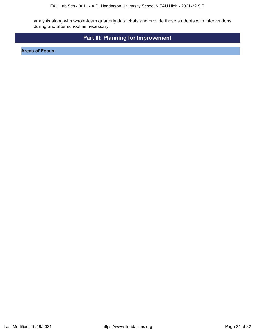analysis along with whole-team quarterly data chats and provide those students with interventions during and after school as necessary.

# **Part III: Planning for Improvement**

<span id="page-23-0"></span>**Areas of Focus:**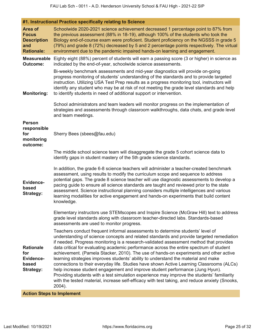| #1. Instructional Practice specifically relating to Science                                                                                                                                                                                                                                                                                                                                                                                                                                                                                                                                                                                                                                                                                                                                                                                                                                                                           |
|---------------------------------------------------------------------------------------------------------------------------------------------------------------------------------------------------------------------------------------------------------------------------------------------------------------------------------------------------------------------------------------------------------------------------------------------------------------------------------------------------------------------------------------------------------------------------------------------------------------------------------------------------------------------------------------------------------------------------------------------------------------------------------------------------------------------------------------------------------------------------------------------------------------------------------------|
| Schoolwide 2020-2021 science achievement decreased 1 percentage point to 87% from<br>the previous assessment (88% in 18-19), although 100% of the students who took the<br>Biology end-of-course exam were proficient. Student proficiency on the NGSSS in grade 5<br>(79%) and grade 8 (72%) decreased by 5 and 2 percentage points respectively. The virtual<br>environment due to the pandemic impaired hands-on learning and engagement.                                                                                                                                                                                                                                                                                                                                                                                                                                                                                          |
| Eighty eight (88%) percent of students will earn a passing score (3 or higher) in science as<br>indicated by the end-of-year, schoolwide science assessments.                                                                                                                                                                                                                                                                                                                                                                                                                                                                                                                                                                                                                                                                                                                                                                         |
| Bi-weekly benchmark assessments and mid-year diagnostics will provide on-going<br>progress monitoring of students' understanding of the standards and to provide targeted<br>instruction. Utilizing USA Test Prep results as a progress monitoring tool, instructors will<br>identify any student who may be at risk of not meeting the grade level standards and help<br>to identify students in need of additional support or intervention.                                                                                                                                                                                                                                                                                                                                                                                                                                                                                         |
| School administrators and team leaders will monitor progress on the implementation of<br>strategies and assessments through classroom walkthroughs, data chats, and grade level<br>and team meetings.                                                                                                                                                                                                                                                                                                                                                                                                                                                                                                                                                                                                                                                                                                                                 |
| Sherry Bees (sbees@fau.edu)                                                                                                                                                                                                                                                                                                                                                                                                                                                                                                                                                                                                                                                                                                                                                                                                                                                                                                           |
| The middle school science team will disaggregate the grade 5 cohort science data to<br>identify gaps in student mastery of the 5th grade science standards.                                                                                                                                                                                                                                                                                                                                                                                                                                                                                                                                                                                                                                                                                                                                                                           |
| In addition, the grade 6-8 science teachers will administer a teacher-created benchmark<br>assessment, using results to modify the curriculum scope and sequence to address<br>potential gaps. The grade 8 science teacher will use diagnostic assessments to develop a<br>pacing guide to ensure all science standards are taught and reviewed prior to the state<br>assessment. Science instructional planning considers multiple intelligences and various<br>learning modalities for active engagement and hands-on experiments that build content<br>knowledge.                                                                                                                                                                                                                                                                                                                                                                  |
| Elementary instructors use STEMscopes and Inspire Science (McGraw Hill) text to address<br>grade level standards along with classroom teacher-directed labs. Standards-based<br>assessments are used to monitor progress.                                                                                                                                                                                                                                                                                                                                                                                                                                                                                                                                                                                                                                                                                                             |
| Teachers conduct frequent informal assessments to determine students' level of<br>understanding of science concepts and related standards and provide targeted remediation<br>if needed. Progress monitoring is a research-validated assessment method that provides<br>data critical for evaluating academic performance across the entire spectrum of student<br>achievement. (Pamela Stacker, 2010). The use of hands-on experiments and other active<br>learning strategies improves students' ability to understand the material and make<br>connections to their everyday life. Studies have shown Active Learning Classrooms (ALCs)<br>help increase student engagement and improve student performance (Jung Hyun).<br>Providing students with a test simulation experience may improve the students' familiarity<br>with the tested material, increase self-efficacy with test taking, and reduce anxiety (Snooks,<br>2004). |
|                                                                                                                                                                                                                                                                                                                                                                                                                                                                                                                                                                                                                                                                                                                                                                                                                                                                                                                                       |

**Action Steps to Implement**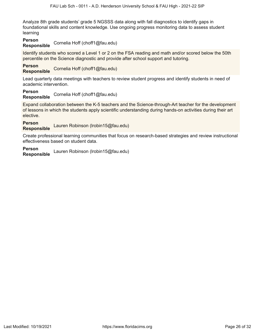Analyze 8th grade students' grade 5 NGSSS data along with fall diagnostics to identify gaps in foundational skills and content knowledge. Use ongoing progress monitoring data to assess student learning

# **Person**

**Responsible** Cornelia Hoff (choff1@fau.edu)

Identify students who scored a Level 1 or 2 on the FSA reading and math and/or scored below the 50th percentile on the Science diagnostic and provide after school support and tutoring.

### **Person**

**Responsible** Cornelia Hoff (choff1@fau.edu)

Lead quarterly data meetings with teachers to review student progress and identify students in need of academic intervention.

# **Person**

**Responsible** Cornelia Hoff (choff1@fau.edu)

Expand collaboration between the K-5 teachers and the Science-through-Art teacher for the development of lessons in which the students apply scientific understanding during hands-on activities during their art elective.

**Person**

**Responsible** Lauren Robinson (lrobin15@fau.edu)

Create professional learning communities that focus on research-based strategies and review instructional effectiveness based on student data.

### **Person**

**Responsible** Lauren Robinson (lrobin15@fau.edu)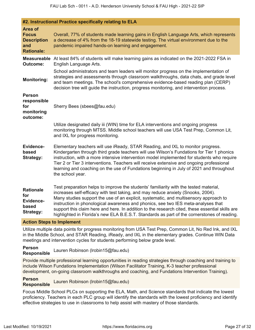|                                                                           | #2. Instructional Practice specifically relating to ELA                                                                                                                                                                                                                                                                                                                                                                                                                                                                                                   |
|---------------------------------------------------------------------------|-----------------------------------------------------------------------------------------------------------------------------------------------------------------------------------------------------------------------------------------------------------------------------------------------------------------------------------------------------------------------------------------------------------------------------------------------------------------------------------------------------------------------------------------------------------|
| Area of<br><b>Focus</b><br><b>Description</b><br>and<br><b>Rationale:</b> | Overall, 77% of students made learning gains in English Language Arts, which represents<br>a decrease of 4% from the 18-19 statewide testing. The virtual environment due to the<br>pandemic impaired hands-on learning and engagement.                                                                                                                                                                                                                                                                                                                   |
| Outcome:                                                                  | <b>Measureable</b> At least 84% of students will make learning gains as indicated on the 2021-2022 FSA in<br>English Language Arts.                                                                                                                                                                                                                                                                                                                                                                                                                       |
| <b>Monitoring:</b>                                                        | School administrators and team leaders will monitor progress on the implementation of<br>strategies and assessments through classroom walkthroughs, data chats, and grade level<br>and team meetings. The school's comprehensive evidence-based reading plan (CERP)<br>decision tree will guide the instruction, progress monitoring, and intervention process.                                                                                                                                                                                           |
| <b>Person</b><br>responsible<br>for<br>monitoring<br>outcome:             | Sherry Bees (sbees@fau.edu)                                                                                                                                                                                                                                                                                                                                                                                                                                                                                                                               |
|                                                                           | Utilize designated daily iii (WIN) time for ELA interventions and ongoing progress<br>monitoring through MTSS. Middle school teachers will use USA Test Prep, Common Lit,<br>and IXL for progress monitoring.                                                                                                                                                                                                                                                                                                                                             |
| Evidence-<br>based<br><b>Strategy:</b>                                    | Elementary teachers will use iReady, STAR Reading, and IXL to monitor progress.<br>Kindergarten through third grade teachers will use Wilson's Fundations for Tier 1 phonics<br>instruction, with a more intensive intervention model implemented for students who require<br>Tier 2 or Tier 3 interventions. Teachers will receive extensive and ongoing professional<br>learning and coaching on the use of Fundations beginning in July of 2021 and throughout<br>the school year.                                                                     |
| <b>Rationale</b><br>for<br>Evidence-<br>based<br>Strategy:                | Test preparation helps to improve the students' familiarity with the tested material,<br>increases self-efficacy with test taking, and may reduce anxiety (Snooks, 2004).<br>Many studies support the use of an explicit, systematic, and multisensory approach to<br>instruction in phonological awareness and phonics, see two IES meta-analyses that<br>support this claim here and here. In addition to the research cited, these essential skills are<br>highlighted in Florida's new ELA B.E.S.T. Standards as part of the cornerstones of reading. |

**Action Steps to Implement**

Utilize multiple data points for progress monitoring from USA Test Prep, Common Lit, No Red Ink, and IXL in the Middle School, and STAR Reading, iReady, and IXL in the elementary grades. Continue WIN Data meetings and intervention cycles for students performing below grade level.

**Person Responsible** Lauren Robinson (lrobin15@fau.edu)

Provide multiple professional learning opportunities in reading strategies through coaching and training to include Wilson Fundations Implementation (Wilson Facilitator Training, K-3 teacher professional development, on-going classroom walkthroughs and coaching, and Fundations Intervention Training).

**Person Responsible** Lauren Robinson (lrobin15@fau.edu)

Focus Middle School PLCs on supporting the ELA, Math, and Science standards that indicate the lowest proficiency. Teachers in each PLC group will identify the standards with the lowest proficiency and identify effective strategies to use in classrooms to help assist with mastery of those standards.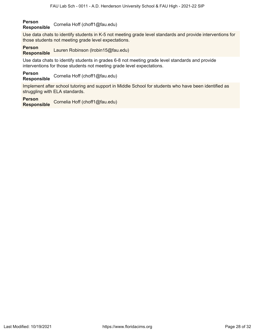#### **Person Responsible** Cornelia Hoff (choff1@fau.edu)

Use data chats to identify students in K-5 not meeting grade level standards and provide interventions for those students not meeting grade level expectations.

### **Person**

**Responsible** Lauren Robinson (lrobin15@fau.edu)

Use data chats to identify students in grades 6-8 not meeting grade level standards and provide interventions for those students not meeting grade level expectations.

**Person Responsible** Cornelia Hoff (choff1@fau.edu)

Implement after school tutoring and support in Middle School for students who have been identified as struggling with ELA standards.

### **Person**

**Responsible** Cornelia Hoff (choff1@fau.edu)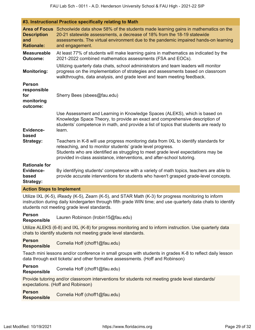|                                                                | #3. Instructional Practice specifically relating to Math                                                                                                                                                                                                                                                           |
|----------------------------------------------------------------|--------------------------------------------------------------------------------------------------------------------------------------------------------------------------------------------------------------------------------------------------------------------------------------------------------------------|
| <b>Description</b><br>and<br><b>Rationale:</b>                 | Area of Focus Schoolwide data show 58% of the students made learning gains in mathematics on the<br>20-21 statewide assessments, a decrease of 18% from the 18-19 statewide<br>assessments. The virtual environment due to the pandemic impaired hands-on learning<br>and engagement.                              |
| <b>Measureable</b><br><b>Outcome:</b>                          | At least 77% of students will make learning gains in mathematics as indicated by the<br>2021-2022 combined mathematics assessments (FSA and EOCs).                                                                                                                                                                 |
| <b>Monitoring:</b>                                             | Utilizing quarterly data chats, school administrators and team leaders will monitor<br>progress on the implementation of strategies and assessments based on classroom<br>walkthroughs, data analysis, and grade level and team meeting feedback.                                                                  |
| <b>Person</b><br>responsible<br>for<br>monitoring<br>outcome:  | Sherry Bees (sbees@fau.edu)                                                                                                                                                                                                                                                                                        |
| Evidence-<br>based                                             | Use Assessment and Learning in Knowledge Spaces (ALEKS), which is based on<br>Knowledge Space Theory, to provide an exact and comprehensive description of<br>students' competence in math, and provide a list of topics that students are ready to<br>learn.                                                      |
| Strategy:                                                      | Teachers in K-8 will use progress monitoring data from IXL to identify standards for<br>reteaching, and to monitor students' grade level progress.<br>Students who are identified as struggling to meet grade level expectations may be<br>provided in-class assistance, interventions, and after-school tutoring. |
| <b>Rationale for</b><br>Evidence-<br>based<br><b>Strategy:</b> | By identifying students' competence with a variety of math topics, teachers are able to<br>provide accurate interventions for students who haven't grasped grade-level concepts.                                                                                                                                   |
| <b>Action Steps to Implement</b>                               |                                                                                                                                                                                                                                                                                                                    |

Utilize IXL (K-5), iReady (K-5), Zearn (K-5), and STAR Math (K-3) for progress monitoring to inform instruction during daily kindergarten through fifth grade WIN time; and use quarterly data chats to identify students not meeting grade level standards.

#### **Person**

**Responsible** Lauren Robinson (lrobin15@fau.edu)

Utilize ALEKS (6-8) and IXL (K-8) for progress monitoring and to inform instruction. Use quarterly data chats to identify students not meeting grade level standards.

**Person Responsible** Cornelia Hoff (choff1@fau.edu)

Teach mini lessons and/or conference in small groups with students in grades K-8 to reflect daily lesson data through exit tickets/ and other formative assessments. (Hoff and Robinson)

# **Person**

**Responsible** Cornelia Hoff (choff1@fau.edu)

Provide tutoring and/or classroom interventions for students not meeting grade level standards/ expectations. (Hoff and Robinson)

**Person Responsible** Cornelia Hoff (choff1@fau.edu)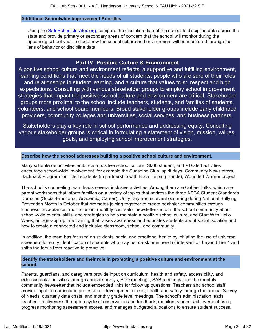### **Additional Schoolwide Improvement Priorities**

Using the [SafeSchoolsforAlex.org](https://www.safeschoolsforalex.org/fl-school-safety-dashboard/), compare the discipline data of the school to discipline data across the state and provide primary or secondary areas of concern that the school will monitor during the upcoming school year. Include how the school culture and environment will be monitored through the lens of behavior or discipline data.

# **Part IV: Positive Culture & Environment**

<span id="page-29-0"></span>A positive school culture and environment reflects: a supportive and fulfilling environment, learning conditions that meet the needs of all students, people who are sure of their roles and relationships in student learning, and a culture that values trust, respect and high expectations. Consulting with various stakeholder groups to employ school improvement strategies that impact the positive school culture and environment are critical. Stakeholder groups more proximal to the school include teachers, students, and families of students, volunteers, and school board members. Broad stakeholder groups include early childhood providers, community colleges and universities, social services, and business partners.

Stakeholders play a key role in school performance and addressing equity. Consulting various stakeholder groups is critical in formulating a statement of vision, mission, values, goals, and employing school improvement strategies.

### **Describe how the school addresses building a positive school culture and environment.**

Many schoolwide activities embrace a positive school culture. Staff, student, and PTO led activities encourage school-wide involvement, for example the Sunshine Club, spirit days, Community Newsletters, Backpack Program for Title I students (in partnership with Boca Helping Hands), Wounded Warrior project.

The school's counseling team leads several inclusive activities. Among them are Coffee Talks, which are parent workshops that inform families on a variety of topics that address the three ASCA Student Standards Domains (Social-Emotional, Academic, Career), Unity Day annual event occurring during National Bullying Prevention Month in October that promotes joining together to create healthier communities through kindness, acceptance, and inclusion, monthly counselor newsletters inform the school community about school-wide events, skills, and strategies to help maintain a positive school culture, and Start With Hello Week, an age-appropriate training that raises awareness and educates students about social isolation and how to create a connected and inclusive classroom, school, and community.

In addition, the team has focused on students' social and emotional health by initiating the use of universal screeners for early identification of students who may be at-risk or in need of intervention beyond Tier 1 and shifts the focus from reactive to proactive.

### **Identify the stakeholders and their role in promoting a positive culture and environment at the school.**

Parents, guardians, and caregivers provide input on curriculum, health and safety, accessibility, and extracurricular activities through annual surveys, PTO meetings, SAB meetings, and the monthly community newsletter that include embedded links for follow up questions. Teachers and school staff provide input on curriculum, professional development needs, health and safety through the annual Survey of Needs, quarterly data chats, and monthly grade level meetings. The school's administration leads teacher effectiveness through a cycle of observation and feedback, monitors student achievement using progress monitoring assessment scores, and manages budgeted allocations to ensure student success.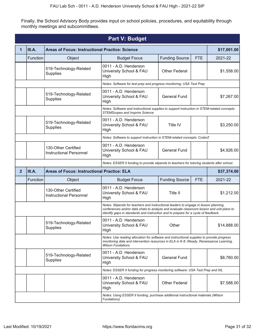Finally, the School Advisory Body provides input on school policies, procedures, and equitability through monthly meetings and subcommittees.

<span id="page-30-0"></span>

|                |                                                                                                   |                                                                                                                       | <b>Part V: Budget</b>                                                                                                                                                                                                                                                 |                       |            |             |  |  |  |
|----------------|---------------------------------------------------------------------------------------------------|-----------------------------------------------------------------------------------------------------------------------|-----------------------------------------------------------------------------------------------------------------------------------------------------------------------------------------------------------------------------------------------------------------------|-----------------------|------------|-------------|--|--|--|
| 1              | III.A.                                                                                            | <b>Areas of Focus: Instructional Practice: Science</b>                                                                |                                                                                                                                                                                                                                                                       |                       |            | \$17,001.00 |  |  |  |
|                | Function                                                                                          | Object                                                                                                                | <b>Budget Focus</b>                                                                                                                                                                                                                                                   | <b>Funding Source</b> | <b>FTE</b> | 2021-22     |  |  |  |
|                |                                                                                                   | 519-Technology-Related<br>Supplies                                                                                    | 0011 - A.D. Henderson<br>University School & FAU<br>High                                                                                                                                                                                                              | <b>Other Federal</b>  |            | \$1,558.00  |  |  |  |
|                | Notes: Software for test prep and progress monitoring: USA Test Prep                              |                                                                                                                       |                                                                                                                                                                                                                                                                       |                       |            |             |  |  |  |
|                |                                                                                                   | 0011 - A.D. Henderson<br>519-Technology-Related<br><b>General Fund</b><br>University School & FAU<br>Supplies<br>High |                                                                                                                                                                                                                                                                       |                       | \$7,267.00 |             |  |  |  |
|                |                                                                                                   |                                                                                                                       | Notes: Software and instructional supplies to support instruction in STEM-related concepts:<br><b>STEMScopes and Insprire Science</b>                                                                                                                                 |                       |            |             |  |  |  |
|                |                                                                                                   | \$3,250.00                                                                                                            |                                                                                                                                                                                                                                                                       |                       |            |             |  |  |  |
|                |                                                                                                   | Notes: Software to support instruction in STEM-related concepts: CoderZ                                               |                                                                                                                                                                                                                                                                       |                       |            |             |  |  |  |
|                |                                                                                                   | 130-Other Certified<br><b>Instructional Personnel</b>                                                                 | 0011 - A.D. Henderson<br>University School & FAU<br>High                                                                                                                                                                                                              | <b>General Fund</b>   |            | \$4,926.00  |  |  |  |
|                |                                                                                                   |                                                                                                                       | Notes: ESSER II funding to provide stipends to teachers for tutoring students after school.                                                                                                                                                                           |                       |            |             |  |  |  |
| $\overline{2}$ | III.A.                                                                                            | <b>Areas of Focus: Instructional Practice: ELA</b>                                                                    |                                                                                                                                                                                                                                                                       |                       |            | \$37,374.00 |  |  |  |
|                | Function                                                                                          | Object                                                                                                                | <b>Budget Focus</b>                                                                                                                                                                                                                                                   | <b>Funding Source</b> | <b>FTE</b> | 2021-22     |  |  |  |
|                |                                                                                                   | 130-Other Certified<br><b>Instructional Personnel</b>                                                                 | 0011 - A.D. Henderson<br>University School & FAU<br>High                                                                                                                                                                                                              | Title II              |            | \$1,212.00  |  |  |  |
|                |                                                                                                   |                                                                                                                       | Notes: Stipends for teachers and instructional leaders to engage in lesson planning<br>conferences and/or data chats to analyze and evaluate classroom lesson and unit plans to<br>identify gaps in standards and instruction and to prepare for a cycle of feedback. |                       |            |             |  |  |  |
|                |                                                                                                   | 519-Technology-Related<br><b>Supplies</b>                                                                             | 0011 - A.D. Henderson<br>University School & FAU<br>High                                                                                                                                                                                                              | Other                 |            | \$14,888.00 |  |  |  |
|                |                                                                                                   |                                                                                                                       | Notes: Use reading allocation for software and instructional supplies to provide progress<br>monitoring data and intervention resources in ELA in K-8: iReady, Renaissance Learning,<br><b>Wilson Fundations</b>                                                      |                       |            |             |  |  |  |
|                |                                                                                                   | 519-Technology-Related<br>Supplies                                                                                    | 0011 - A.D. Henderson<br>University School & FAU<br>High                                                                                                                                                                                                              | <b>General Fund</b>   |            | \$8,760.00  |  |  |  |
|                | Notes: ESSER II funding for progress monitoring software: USA Test Prep and IXL                   |                                                                                                                       |                                                                                                                                                                                                                                                                       |                       |            |             |  |  |  |
|                | 0011 - A.D. Henderson<br>University School & FAU<br><b>Other Federal</b><br>High                  |                                                                                                                       |                                                                                                                                                                                                                                                                       |                       |            |             |  |  |  |
|                | Notes: Using ESSER II funding, purchase additional instructional materials (Wilson<br>Fundations) |                                                                                                                       |                                                                                                                                                                                                                                                                       |                       |            |             |  |  |  |